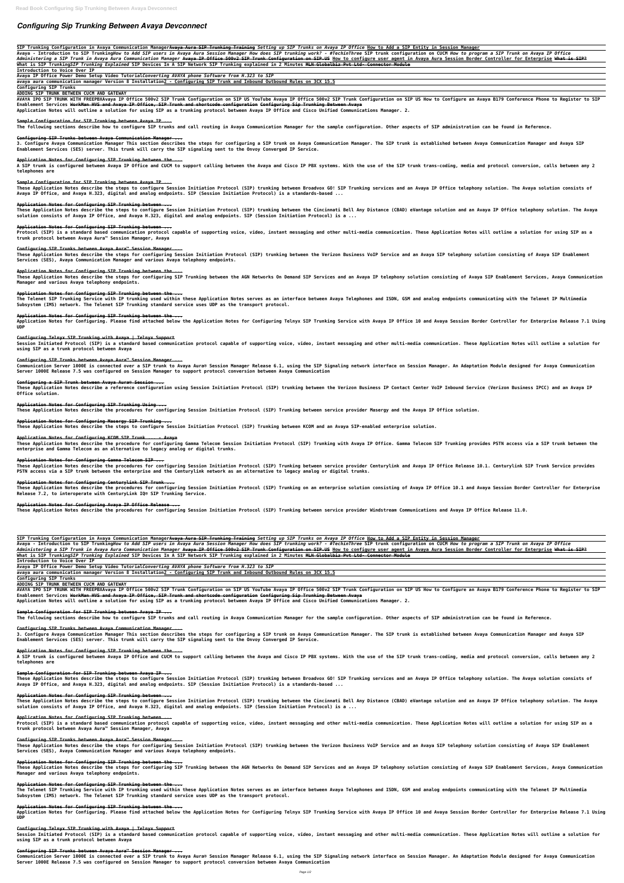# *Configuring Sip Trunking Between Avaya Devconnect*

**SIP Trunking Configuration in Avaya Communication ManagerAvaya Aura SIP Trunking Training** *Setting up SIP Trunks on Avaya IP Office* **How to Add a SIP Entity in Session Manager**

Avaya - Introduction to SIP TrunkingHow to Add SIP users in Avaya Aura Session Manager How does SIP trunking work? - #TechinThree SIP trunk configuration on CUCM How to program a SIP Trunk on Avaya IP Office Administering a SIP Trunk in Avaya Aura Communication Manager A<del>vaya IP Office 500v2 SIP Trunk Configuration on SIP.US</del> How to configure user agent in Avaya Aura Session Border Controller for Enterprise <del>What is SIP?</del>

AVAYA IPO SIP TRUNK WITH FREEPBXAvaya IP Office 500v2 SIP Trunk Configuration on SIP US YouTube Avaya IP Office 500v2 SIP Trunk Configuration on SIP US How to Configure an Avaya B179 Conference Phone to Register to SIP **Enablement Services WorkMan HVS and Avaya IP Office, SIP Trunk and shortcode configuration Configuring Sip Trunking Between Avaya**

**What is SIP Trunking***SIP Trunking Explained* **SIP Devices In A SIP Network SIP Trunking explained in 2 Minutes MLN Globalbiz Pvt Ltd- Connector Module**

**Introduction to Voice Over IP**

**Avaya IP Office Power Demo Setup Video Tutorial***Converting AVAYA phone Software from H.323 to SIP*

**avaya aura communication manager Version 8 Installation2 - Configuring SIP Trunk and Inbound Outbound Rules on 3CX 15.5**

### **Configuring SIP Trunks**

### **ADDING SIP TRUNK BETWEEN CUCM AND GATEWAY**

**Application Notes will outline a solution for using SIP as a trunking protocol between Avaya IP Office and Cisco Unified Communications Manager. 2.**

### **Sample Configuration for SIP Trunking between Avaya IP ...**

**The following sections describe how to configure SIP trunks and call routing in Avaya Communication Manager for the sample configuration. Other aspects of SIP administration can be found in Reference.**

### **Configuring SIP Trunks between Avaya Communication Manager ...**

**3. Configure Avaya Communication Manager This section describes the steps for configuring a SIP trunk on Avaya Communication Manager. The SIP trunk is established between Avaya Communication Manager and Avaya SIP Enablement Services (SES) server. This trunk will carry the SIP signaling sent to the Onvoy Converged IP Service.**

These Application Notes describe the steps for configuring SIP Trunking between the AGN Networks On Demand SIP Services and an Avaya IP telephony solution consisting of Avaya SIP Enablement Services, Avaya Communication **Manager and various Avaya telephony endpoints.**

### **Application Notes for Configuring SIP Trunking between the ...**

**A SIP trunk is configured between Avaya IP Office and CUCM to support calling between the Avaya and Cisco IP PBX systems. With the use of the SIP trunk trans-coding, media and protocol conversion, calls between any 2 telephones are**

Application Notes for Configuring. Please find attached below the Application Notes for Configuring Telnyx SIP Trunking Service with Avaya IP Office 10 and Avaya Session Border Controller for Enterprise Release 7.1 Using **UDP**

### **Sample Configuration for SIP Trunking between Avaya IP ...**

Session Initiated Protocol (SIP) is a standard based communication protocol capable of supporting voice, video, instant messaging and other multi-media communication. These Application Notes will outline a solution for **using SIP as a trunk protocol between Avaya**

**These Application Notes describe the steps to configure Session Initiation Protocol (SIP) trunking between Broadvox GO! SIP Trunking services and an Avaya IP Office telephony solution. The Avaya solution consists of Avaya IP Office, and Avaya H.323, digital and analog endpoints. SIP (Session Initiation Protocol) is a standards-based ...**

### **Application Notes for Configuring SIP Trunking between ...**

**These Application Notes describe the steps to configure Session Initiation Protocol (SIP) trunking between the Cincinnati Bell Any Distance (CBAD) eVantage solution and an Avaya IP Office telephony solution. The Avaya solution consists of Avaya IP Office, and Avaya H.323, digital and analog endpoints. SIP (Session Initiation Protocol) is a ...**

### **Application Notes for Configuring SIP Trunking between ...**

**Protocol (SIP) is a standard based communication protocol capable of supporting voice, video, instant messaging and other multi-media communication. These Application Notes will outline a solution for using SIP as a trunk protocol between Avaya Aura™ Session Manager, Avaya**

### **Configuring SIP Trunks between Avaya Aura™ Session Manager ...**

These Application Notes describe the procedures for configuring Session Initiation Protocol (SIP) Trunking on an enterprise solution consisting of Avaya IP Office 10.1 and Avaya Session Border Controller for Enterprise **Release 7.2, to interoperate with CenturyLink IQ® SIP Trunking Service.**

**These Application Notes describe the steps for configuring Session Initiation Protocol (SIP) trunking between the Verizon Business VoIP Service and an Avaya SIP telephony solution consisting of Avaya SIP Enablement Services (SES), Avaya Communication Manager and various Avaya telephony endpoints.**

### **Application Notes for Configuring SIP Trunking between the ...**

### **Application Notes for Configuring SIP Trunking between the ...**

**The Telenet SIP Trunking Service with IP trunking used within these Application Notes serves as an interface between Avaya Telephones and ISDN, GSM and analog endpoints communicating with the Telenet IP Multimedia Subsystem (IMS) network. The Telenet SIP Trunking standard service uses UDP as the transport protocol.**

AVAYA IPO SIP TRUNK WITH FREEPBXAvaya IP Office 500v2 SIP Trunk Configuration on SIP US YouTube Avaya IP Office 500v2 SIP Trunk Configuration on SIP US How to Configure an Avaya B179 Conference Phone to Register to SIP **Enablement Services WorkMan HVS and Avaya IP Office, SIP Trunk and shortcode configuration Configuring Sip Trunking Between Avaya**

### **Application Notes for Configuring SIP Trunking between the ...**

### **Configuring Telnyx SIP Trunking with Avaya | Telnyx Support**

### **Configuring SIP Trunks between Avaya Aura™ Session Manager ...**

**Communication Server 1000E is connected over a SIP trunk to Avaya Aura® Session Manager Release 6.1, using the SIP Signaling network interface on Session Manager. An Adaptation Module designed for Avaya Communication Server 1000E Release 7.5 was configured on Session Manager to support protocol conversion between Avaya Communication**

### **Configuring a SIP Trunk between Avaya Aura® Session ...**

**These Application Notes describe a reference configuration using Session Initiation Protocol (SIP) trunking between the Verizon Business IP Contact Center VoIP Inbound Service (Verizon Business IPCC) and an Avaya IP Office solution.**

These Application Notes describe the steps for configuring SIP Trunking between the AGN Networks On Demand SIP Services and an Avaya IP telephony solution consisting of Avaya SIP Enablement Services. Avava Communication **Manager and various Avaya telephony endpoints.**

### **Application Notes for Configuring SIP Trunking Using ...**

**These Application Notes describe the procedures for configuring Session Initiation Protocol (SIP) Trunking between service provider Masergy and the Avaya IP Office solution.**

### **Application Notes for Configuring Masergy SIP Trunking ...**

Application Notes for Configuring. Please find attached below the Application Notes for Configuring Telnyx SIP Trunking Service with Avaya IP Office 10 and Avaya Session Border Controller for Enterprise Release 7.1 Using **UDP**

**These Application Notes describe the steps to configure Session Initiation Protocol (SIP) Trunking between KCOM and an Avaya SIP-enabled enterprise solution.**

### **Application Notes for Configuring KCOM SIP Trunk ... - Avaya**

Session Initiated Protocol (SIP) is a standard based communication protocol capable of supporting voice, video, instant messaging and other multi-media communication. These Application Notes will outline a solution for **using SIP as a trunk protocol between Avaya**

**These Application Notes describe the procedure for configuring Gamma Telecom Session Initiation Protocol (SIP) Trunking with Avaya IP Office. Gamma Telecom SIP Trunking provides PSTN access via a SIP trunk between the enterprise and Gamma Telecom as an alternative to legacy analog or digital trunks.**

### **Application Notes for Configuring Gamma Telecom SIP ...**

**These Application Notes describe the procedures for configuring Session Initiation Protocol (SIP) Trunking between service provider Centurylink and Avaya IP Office Release 10.1. Centurylink SIP Trunk Service provides PSTN access via a SIP trunk between the enterprise and the Centurylink network as an alternative to legacy analog or digital trunks.**

### **Application Notes for Configuring Centurylink SIP Trunk ...**

### **Application Notes for Configuring Avaya IP Office Release ...**

**These Application Notes describe the procedures for configuring Session Initiation Protocol (SIP) Trunking between service provider Windstream Communications and Avaya IP Office Release 11.0.**

SIP Trunking Configuration in Avaya Communication Manager<del>Avaya Aura SIP Trunking Training</del> Sett*ing up SIP Trunks on Avaya IP Office* How to Add a SIP Entity in Session Manager Avaya - Introduction to SIP TrunkingHow to Add SIP users in Avaya Aura Session Manager How does SIP trunking work? - #TechinThree SIP trunk configuration on CUCM How to program a SIP Trunk on Avaya IP Office Administering a SIP Trunk in Avaya Aura Communication Manager <del>Avaya IP Office 500v2 SIP Trunk Configuration on SIP.US</del> How to configure user agent in Avaya Aura Session Border Controller for Enterprise <del>What is SIP?</del>

**What is SIP Trunking***SIP Trunking Explained* **SIP Devices In A SIP Network SIP Trunking explained in 2 Minutes MLN Globalbiz Pvt Ltd- Connector Module**

**Introduction to Voice Over IP**

**Avaya IP Office Power Demo Setup Video Tutorial***Converting AVAYA phone Software from H.323 to SIP*

**avaya aura communication manager Version 8 Installation2 - Configuring SIP Trunk and Inbound Outbound Rules on 3CX 15.5**

### **Configuring SIP Trunks**

### **ADDING SIP TRUNK BETWEEN CUCM AND GATEWAY**

# **Application Notes will outline a solution for using SIP as a trunking protocol between Avaya IP Office and Cisco Unified Communications Manager. 2.**

# **Sample Configuration for SIP Trunking between Avaya IP ...**

**The following sections describe how to configure SIP trunks and call routing in Avaya Communication Manager for the sample configuration. Other aspects of SIP administration can be found in Reference.**

# **Configuring SIP Trunks between Avaya Communication Manager ...**

**3. Configure Avaya Communication Manager This section describes the steps for configuring a SIP trunk on Avaya Communication Manager. The SIP trunk is established between Avaya Communication Manager and Avaya SIP Enablement Services (SES) server. This trunk will carry the SIP signaling sent to the Onvoy Converged IP Service.**

# **Application Notes for Configuring SIP Trunking between the ...**

**A SIP trunk is configured between Avaya IP Office and CUCM to support calling between the Avaya and Cisco IP PBX systems. With the use of the SIP trunk trans-coding, media and protocol conversion, calls between any 2 telephones are**

### **Sample Configuration for SIP Trunking between Avaya IP ...**

**These Application Notes describe the steps to configure Session Initiation Protocol (SIP) trunking between Broadvox GO! SIP Trunking services and an Avaya IP Office telephony solution. The Avaya solution consists of Avaya IP Office, and Avaya H.323, digital and analog endpoints. SIP (Session Initiation Protocol) is a standards-based ...**

#### **Application Notes for Configuring SIP Trunking between ...**

**These Application Notes describe the steps to configure Session Initiation Protocol (SIP) trunking between the Cincinnati Bell Any Distance (CBAD) eVantage solution and an Avaya IP Office telephony solution. The Avaya solution consists of Avaya IP Office, and Avaya H.323, digital and analog endpoints. SIP (Session Initiation Protocol) is a ...**

#### **Application Notes for Configuring SIP Trunking between ...**

**Protocol (SIP) is a standard based communication protocol capable of supporting voice, video, instant messaging and other multi-media communication. These Application Notes will outline a solution for using SIP as a trunk protocol between Avaya Aura™ Session Manager, Avaya**

#### **Configuring SIP Trunks between Avaya Aura™ Session Manager ...**

**These Application Notes describe the steps for configuring Session Initiation Protocol (SIP) trunking between the Verizon Business VoIP Service and an Avaya SIP telephony solution consisting of Avaya SIP Enablement Services (SES), Avaya Communication Manager and various Avaya telephony endpoints.**

### **Application Notes for Configuring SIP Trunking between the ...**

### **Application Notes for Configuring SIP Trunking between the ...**

**The Telenet SIP Trunking Service with IP trunking used within these Application Notes serves as an interface between Avaya Telephones and ISDN, GSM and analog endpoints communicating with the Telenet IP Multimedia Subsystem (IMS) network. The Telenet SIP Trunking standard service uses UDP as the transport protocol.**

### **Application Notes for Configuring SIP Trunking between the ...**

#### **Configuring Telnyx SIP Trunking with Avaya | Telnyx Support**

### **Configuring SIP Trunks between Avaya Aura™ Session Manager ...**

**Communication Server 1000E is connected over a SIP trunk to Avaya Aura® Session Manager Release 6.1, using the SIP Signaling network interface on Session Manager. An Adaptation Module designed for Avaya Communication Server 1000E Release 7.5 was configured on Session Manager to support protocol conversion between Avaya Communication**